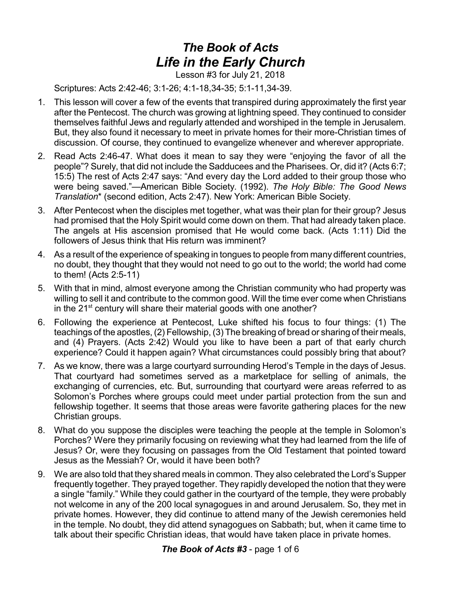## *The Book of Acts Life in the Early Church*

Lesson #3 for July 21, 2018

Scriptures: Acts 2:42-46; 3:1-26; 4:1-18,34-35; 5:1-11,34-39.

- 1. This lesson will cover a few of the events that transpired during approximately the first year after the Pentecost. The church was growing at lightning speed. They continued to consider themselves faithful Jews and regularly attended and worshiped in the temple in Jerusalem. But, they also found it necessary to meet in private homes for their more-Christian times of discussion. Of course, they continued to evangelize whenever and wherever appropriate.
- 2. Read Acts 2:46-47. What does it mean to say they were "enjoying the favor of all the people"? Surely, that did not include the Sadducees and the Pharisees. Or, did it? (Acts 6:7; 15:5) The rest of Acts 2:47 says: "And every day the Lord added to their group those who were being saved."—American Bible Society. (1992). *The Holy Bible: The Good News Translation*\* (second edition, Acts 2:47). New York: American Bible Society.
- 3. After Pentecost when the disciples met together, what was their plan for their group? Jesus had promised that the Holy Spirit would come down on them. That had already taken place. The angels at His ascension promised that He would come back. (Acts 1:11) Did the followers of Jesus think that His return was imminent?
- 4. As a result of the experience of speaking in tongues to people from many different countries, no doubt, they thought that they would not need to go out to the world; the world had come to them! (Acts 2:5-11)
- 5. With that in mind, almost everyone among the Christian community who had property was willing to sell it and contribute to the common good. Will the time ever come when Christians in the 21<sup>st</sup> century will share their material goods with one another?
- 6. Following the experience at Pentecost, Luke shifted his focus to four things: (1) The teachings of the apostles, (2) Fellowship, (3) The breaking of bread or sharing of their meals, and (4) Prayers. (Acts 2:42) Would you like to have been a part of that early church experience? Could it happen again? What circumstances could possibly bring that about?
- 7. As we know, there was a large courtyard surrounding Herod's Temple in the days of Jesus. That courtyard had sometimes served as a marketplace for selling of animals, the exchanging of currencies, etc. But, surrounding that courtyard were areas referred to as Solomon's Porches where groups could meet under partial protection from the sun and fellowship together. It seems that those areas were favorite gathering places for the new Christian groups.
- 8. What do you suppose the disciples were teaching the people at the temple in Solomon's Porches? Were they primarily focusing on reviewing what they had learned from the life of Jesus? Or, were they focusing on passages from the Old Testament that pointed toward Jesus as the Messiah? Or, would it have been both?
- 9. We are also told that they shared meals in common. They also celebrated the Lord's Supper frequently together. They prayed together. They rapidly developed the notion that they were a single "family." While they could gather in the courtyard of the temple, they were probably not welcome in any of the 200 local synagogues in and around Jerusalem. So, they met in private homes. However, they did continue to attend many of the Jewish ceremonies held in the temple. No doubt, they did attend synagogues on Sabbath; but, when it came time to talk about their specific Christian ideas, that would have taken place in private homes.

## *The Book of Acts #3* - page 1 of 6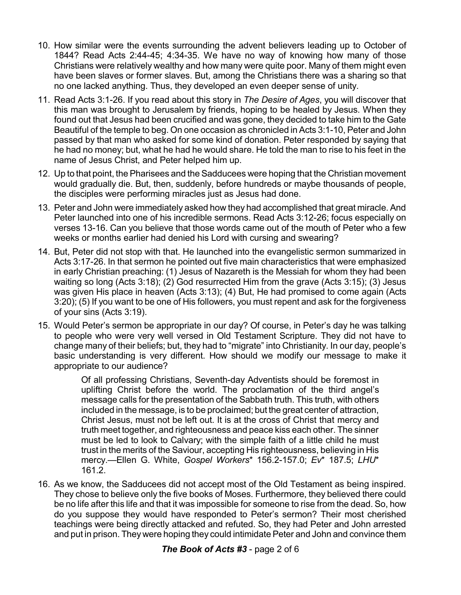- 10. How similar were the events surrounding the advent believers leading up to October of 1844? Read Acts 2:44-45; 4:34-35. We have no way of knowing how many of those Christians were relatively wealthy and how many were quite poor. Many of them might even have been slaves or former slaves. But, among the Christians there was a sharing so that no one lacked anything. Thus, they developed an even deeper sense of unity.
- 11. Read Acts 3:1-26. If you read about this story in *The Desire of Ages*, you will discover that this man was brought to Jerusalem by friends, hoping to be healed by Jesus. When they found out that Jesus had been crucified and was gone, they decided to take him to the Gate Beautiful of the temple to beg. On one occasion as chronicled in Acts 3:1-10, Peter and John passed by that man who asked for some kind of donation. Peter responded by saying that he had no money; but, what he had he would share. He told the man to rise to his feet in the name of Jesus Christ, and Peter helped him up.
- 12. Up to that point, the Pharisees and the Sadducees were hoping that the Christian movement would gradually die. But, then, suddenly, before hundreds or maybe thousands of people, the disciples were performing miracles just as Jesus had done.
- 13. Peter and John were immediately asked how they had accomplished that great miracle. And Peter launched into one of his incredible sermons. Read Acts 3:12-26; focus especially on verses 13-16. Can you believe that those words came out of the mouth of Peter who a few weeks or months earlier had denied his Lord with cursing and swearing?
- 14. But, Peter did not stop with that. He launched into the evangelistic sermon summarized in Acts 3:17-26. In that sermon he pointed out five main characteristics that were emphasized in early Christian preaching: (1) Jesus of Nazareth is the Messiah for whom they had been waiting so long (Acts 3:18); (2) God resurrected Him from the grave (Acts 3:15); (3) Jesus was given His place in heaven (Acts 3:13); (4) But, He had promised to come again (Acts 3:20); (5) If you want to be one of His followers, you must repent and ask for the forgiveness of your sins (Acts 3:19).
- 15. Would Peter's sermon be appropriate in our day? Of course, in Peter's day he was talking to people who were very well versed in Old Testament Scripture. They did not have to change many of their beliefs; but, they had to "migrate" into Christianity. In our day, people's basic understanding is very different. How should we modify our message to make it appropriate to our audience?

Of all professing Christians, Seventh-day Adventists should be foremost in uplifting Christ before the world. The proclamation of the third angel's message calls for the presentation of the Sabbath truth. This truth, with others included in the message, is to be proclaimed; but the great center of attraction, Christ Jesus, must not be left out. It is at the cross of Christ that mercy and truth meet together, and righteousness and peace kiss each other. The sinner must be led to look to Calvary; with the simple faith of a little child he must trust in the merits of the Saviour, accepting His righteousness, believing in His mercy.—Ellen G. White, *Gospel Workers*\* 156.2-157.0; *Ev*\* 187.5; *LHU*\* 161.2.

16. As we know, the Sadducees did not accept most of the Old Testament as being inspired. They chose to believe only the five books of Moses. Furthermore, they believed there could be no life after this life and that it was impossible for someone to rise from the dead. So, how do you suppose they would have responded to Peter's sermon? Their most cherished teachings were being directly attacked and refuted. So, they had Peter and John arrested and put in prison. They were hoping they could intimidate Peter and John and convince them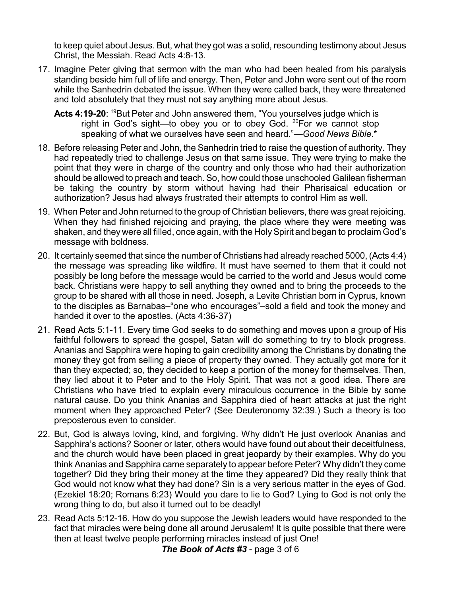to keep quiet about Jesus. But, what they got was a solid, resounding testimony about Jesus Christ, the Messiah. Read Acts 4:8-13.

- 17. Imagine Peter giving that sermon with the man who had been healed from his paralysis standing beside him full of life and energy. Then, Peter and John were sent out of the room while the Sanhedrin debated the issue. When they were called back, they were threatened and told absolutely that they must not say anything more about Jesus.
	- Acts 4:19-20: <sup>19</sup>But Peter and John answered them, "You yourselves judge which is right in God's sight—to obey you or to obey God. <sup>20</sup>For we cannot stop speaking of what we ourselves have seen and heard."—*Good News Bible*.\*
- 18. Before releasing Peter and John, the Sanhedrin tried to raise the question of authority. They had repeatedly tried to challenge Jesus on that same issue. They were trying to make the point that they were in charge of the country and only those who had their authorization should be allowed to preach and teach. So, how could those unschooled Galilean fisherman be taking the country by storm without having had their Pharisaical education or authorization? Jesus had always frustrated their attempts to control Him as well.
- 19. When Peter and John returned to the group of Christian believers, there was great rejoicing. When they had finished rejoicing and praying, the place where they were meeting was shaken, and they were all filled, once again, with the HolySpirit and began to proclaim God's message with boldness.
- 20. It certainly seemed that since the number of Christians had already reached 5000, (Acts 4:4) the message was spreading like wildfire. It must have seemed to them that it could not possibly be long before the message would be carried to the world and Jesus would come back. Christians were happy to sell anything they owned and to bring the proceeds to the group to be shared with all those in need. Joseph, a Levite Christian born in Cyprus, known to the disciples as Barnabas–"one who encourages"–sold a field and took the money and handed it over to the apostles. (Acts 4:36-37)
- 21. Read Acts 5:1-11. Every time God seeks to do something and moves upon a group of His faithful followers to spread the gospel, Satan will do something to try to block progress. Ananias and Sapphira were hoping to gain credibility among the Christians by donating the money they got from selling a piece of property they owned. They actually got more for it than they expected; so, they decided to keep a portion of the money for themselves. Then, they lied about it to Peter and to the Holy Spirit. That was not a good idea. There are Christians who have tried to explain every miraculous occurrence in the Bible by some natural cause. Do you think Ananias and Sapphira died of heart attacks at just the right moment when they approached Peter? (See Deuteronomy 32:39.) Such a theory is too preposterous even to consider.
- 22. But, God is always loving, kind, and forgiving. Why didn't He just overlook Ananias and Sapphira's actions? Sooner or later, others would have found out about their deceitfulness, and the church would have been placed in great jeopardy by their examples. Why do you think Ananias and Sapphira came separately to appear before Peter? Why didn't they come together? Did they bring their money at the time they appeared? Did they really think that God would not know what they had done? Sin is a very serious matter in the eyes of God. (Ezekiel 18:20; Romans 6:23) Would you dare to lie to God? Lying to God is not only the wrong thing to do, but also it turned out to be deadly!
- 23. Read Acts 5:12-16. How do you suppose the Jewish leaders would have responded to the fact that miracles were being done all around Jerusalem! It is quite possible that there were then at least twelve people performing miracles instead of just One!

*The Book of Acts #3* - page 3 of 6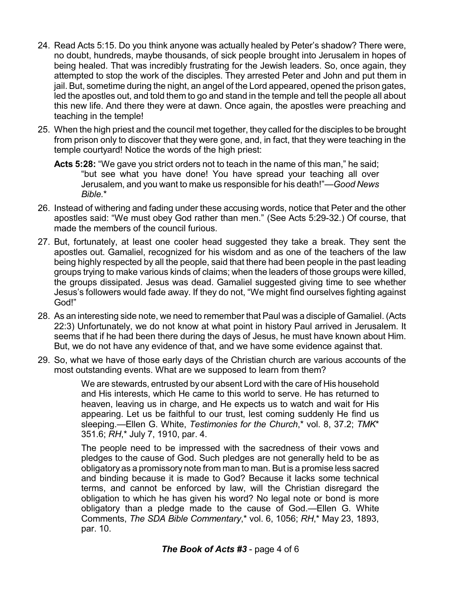- 24. Read Acts 5:15. Do you think anyone was actually healed by Peter's shadow? There were, no doubt, hundreds, maybe thousands, of sick people brought into Jerusalem in hopes of being healed. That was incredibly frustrating for the Jewish leaders. So, once again, they attempted to stop the work of the disciples. They arrested Peter and John and put them in jail. But, sometime during the night, an angel of the Lord appeared, opened the prison gates, led the apostles out, and told them to go and stand in the temple and tell the people all about this new life. And there they were at dawn. Once again, the apostles were preaching and teaching in the temple!
- 25. When the high priest and the council met together, they called for the disciples to be brought from prison only to discover that they were gone, and, in fact, that they were teaching in the temple courtyard! Notice the words of the high priest:
	- **Acts 5:28:** "We gave you strict orders not to teach in the name of this man," he said; "but see what you have done! You have spread your teaching all over Jerusalem, and you want to make us responsible for his death!"—*Good News Bible.*\*
- 26. Instead of withering and fading under these accusing words, notice that Peter and the other apostles said: "We must obey God rather than men." (See Acts 5:29-32.) Of course, that made the members of the council furious.
- 27. But, fortunately, at least one cooler head suggested they take a break. They sent the apostles out. Gamaliel, recognized for his wisdom and as one of the teachers of the law being highly respected by all the people, said that there had been people in the past leading groups trying to make various kinds of claims; when the leaders of those groups were killed, the groups dissipated. Jesus was dead. Gamaliel suggested giving time to see whether Jesus's followers would fade away. If they do not, "We might find ourselves fighting against God!"
- 28. As an interesting side note, we need to remember that Paul was a disciple of Gamaliel. (Acts 22:3) Unfortunately, we do not know at what point in history Paul arrived in Jerusalem. It seems that if he had been there during the days of Jesus, he must have known about Him. But, we do not have any evidence of that, and we have some evidence against that.
- 29. So, what we have of those early days of the Christian church are various accounts of the most outstanding events. What are we supposed to learn from them?

We are stewards, entrusted by our absent Lord with the care of His household and His interests, which He came to this world to serve. He has returned to heaven, leaving us in charge, and He expects us to watch and wait for His appearing. Let us be faithful to our trust, lest coming suddenly He find us sleeping.—Ellen G. White, *Testimonies for the Church*,\* vol. 8, 37.2; *TMK*\* 351.6; *RH*,\* July 7, 1910, par. 4.

The people need to be impressed with the sacredness of their vows and pledges to the cause of God. Such pledges are not generally held to be as obligatory as a promissory note from man to man. But is a promise less sacred and binding because it is made to God? Because it lacks some technical terms, and cannot be enforced by law, will the Christian disregard the obligation to which he has given his word? No legal note or bond is more obligatory than a pledge made to the cause of God.—Ellen G. White Comments, *The SDA Bible Commentary*,\* vol. 6, 1056; *RH*,\* May 23, 1893, par. 10.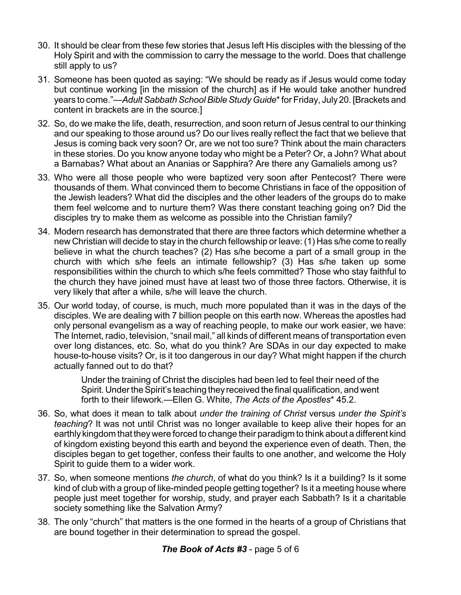- 30. It should be clear from these few stories that Jesus left His disciples with the blessing of the Holy Spirit and with the commission to carry the message to the world. Does that challenge still apply to us?
- 31. Someone has been quoted as saying: "We should be ready as if Jesus would come today but continue working [in the mission of the church] as if He would take another hundred years to come."—Adult Sabbath School Bible Study Guide\* for Friday, July 20. [Brackets and content in brackets are in the source.]
- 32. So, do we make the life, death, resurrection, and soon return of Jesus central to our thinking and our speaking to those around us? Do our lives really reflect the fact that we believe that Jesus is coming back very soon? Or, are we not too sure? Think about the main characters in these stories. Do you know anyone today who might be a Peter? Or, a John? What about a Barnabas? What about an Ananias or Sapphira? Are there any Gamaliels among us?
- 33. Who were all those people who were baptized very soon after Pentecost? There were thousands of them. What convinced them to become Christians in face of the opposition of the Jewish leaders? What did the disciples and the other leaders of the groups do to make them feel welcome and to nurture them? Was there constant teaching going on? Did the disciples try to make them as welcome as possible into the Christian family?
- 34. Modern research has demonstrated that there are three factors which determine whether a new Christian will decide to stay in the church fellowship or leave: (1) Has s/he come to really believe in what the church teaches? (2) Has s/he become a part of a small group in the church with which s/he feels an intimate fellowship? (3) Has s/he taken up some responsibilities within the church to which s/he feels committed? Those who stay faithful to the church they have joined must have at least two of those three factors. Otherwise, it is very likely that after a while, s/he will leave the church.
- 35. Our world today, of course, is much, much more populated than it was in the days of the disciples. We are dealing with 7 billion people on this earth now. Whereas the apostles had only personal evangelism as a way of reaching people, to make our work easier, we have: The Internet, radio, television, "snail mail," all kinds of different means of transportation even over long distances, etc. So, what do you think? Are SDAs in our day expected to make house-to-house visits? Or, is it too dangerous in our day? What might happen if the church actually fanned out to do that?

Under the training of Christ the disciples had been led to feel their need of the Spirit. Under the Spirit's teaching they received the final qualification, and went forth to their lifework.—Ellen G. White, *The Acts of the Apostles*\* 45.2.

- 36. So, what does it mean to talk about *under the training of Christ* versus *under the Spirit's teaching*? It was not until Christ was no longer available to keep alive their hopes for an earthly kingdom that theywere forced to change their paradigm to think about a different kind of kingdom existing beyond this earth and beyond the experience even of death. Then, the disciples began to get together, confess their faults to one another, and welcome the Holy Spirit to guide them to a wider work.
- 37. So, when someone mentions *the church*, of what do you think? Is it a building? Is it some kind of club with a group of like-minded people getting together? Is it a meeting house where people just meet together for worship, study, and prayer each Sabbath? Is it a charitable society something like the Salvation Army?
- 38. The only "church" that matters is the one formed in the hearts of a group of Christians that are bound together in their determination to spread the gospel.